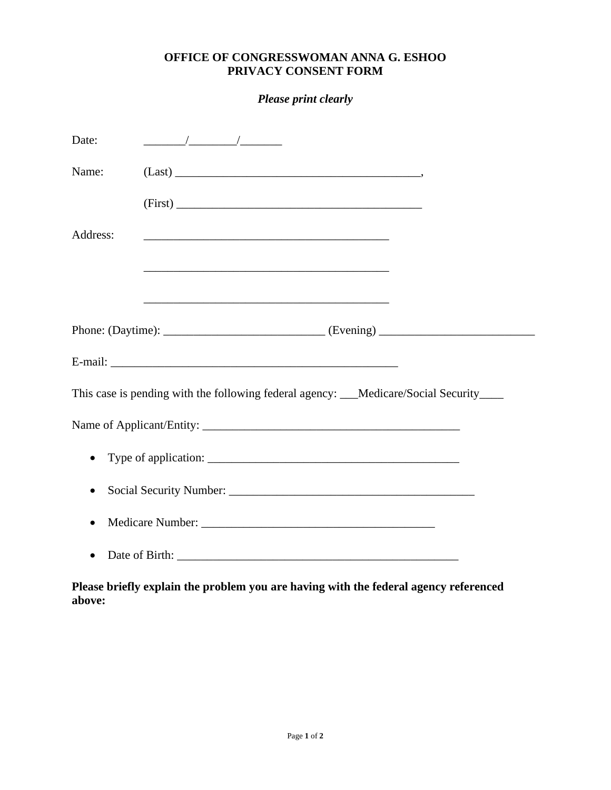## **OFFICE OF CONGRESSWOMAN ANNA G. ESHOO PRIVACY CONSENT FORM**

*Please print clearly*

| Date:                                                                                   |                                                                                                                  |
|-----------------------------------------------------------------------------------------|------------------------------------------------------------------------------------------------------------------|
| Name:                                                                                   |                                                                                                                  |
|                                                                                         | (First)                                                                                                          |
| Address:                                                                                |                                                                                                                  |
|                                                                                         | and the control of the control of the control of the control of the control of the control of the control of the |
|                                                                                         |                                                                                                                  |
|                                                                                         |                                                                                                                  |
|                                                                                         |                                                                                                                  |
| This case is pending with the following federal agency: ___Medicare/Social Security____ |                                                                                                                  |
|                                                                                         |                                                                                                                  |
| $\bullet$                                                                               |                                                                                                                  |
|                                                                                         |                                                                                                                  |
| $\bullet$                                                                               |                                                                                                                  |
|                                                                                         |                                                                                                                  |

**Please briefly explain the problem you are having with the federal agency referenced above:**